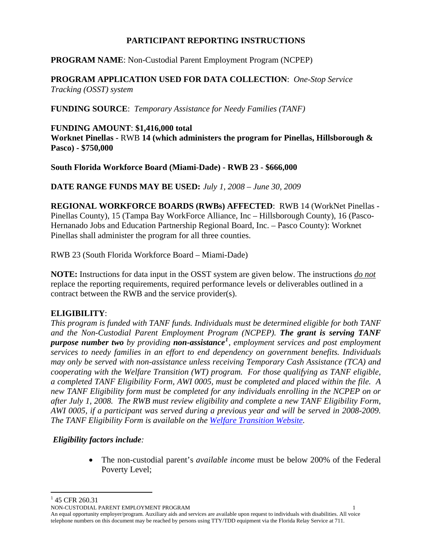### **PARTICIPANT REPORTING INSTRUCTIONS**

## **PROGRAM NAME**: Non-Custodial Parent Employment Program (NCPEP)

**PROGRAM APPLICATION USED FOR DATA COLLECTION**: *One-Stop Service Tracking (OSST) system* 

**FUNDING SOURCE**: *Temporary Assistance for Needy Families (TANF)*

#### **FUNDING AMOUNT**: **\$1,416,000 total**

**Worknet Pinellas -** RWB **14 (which administers the program for Pinellas, Hillsborough & Pasco) - \$750,000** 

**South Florida Workforce Board (Miami-Dade) - RWB 23 - \$666,000**

**DATE RANGE FUNDS MAY BE USED:** *July 1, 2008 – June 30, 2009* 

**REGIONAL WORKFORCE BOARDS (RWBs) AFFECTED**:RWB 14 (WorkNet Pinellas - Pinellas County), 15 (Tampa Bay WorkForce Alliance, Inc – Hillsborough County), 16 (Pasco-Hernanado Jobs and Education Partnership Regional Board, Inc. – Pasco County): Worknet Pinellas shall administer the program for all three counties.

RWB 23 (South Florida Workforce Board – Miami-Dade)

**NOTE:** Instructions for data input in the OSST system are given below. The instructions *do not* replace the reporting requirements, required performance levels or deliverables outlined in a contract between the RWB and the service provider(s).

### **ELIGIBILITY**:

*This program is funded with TANF funds. Individuals must be determined eligible for both TANF and the Non-Custodial Parent Employment Program (NCPEP). The grant is serving TANF purpose number two by providing non-assistance[1](#page-0-0) , employment services and post employment services to needy families in an effort to end dependency on government benefits. Individuals may only be served with non-assistance unless receiving Temporary Cash Assistance (TCA) and cooperating with the Welfare Transition (WT) program. For those qualifying as TANF eligible, a completed TANF Eligibility Form, AWI 0005, must be completed and placed within the file. A new TANF Eligibility form must be completed for any individuals enrolling in the NCPEP on or after July 1, 2008. The RWB must review eligibility and complete a new TANF Eligibility Form, AWI 0005, if a participant was served during a previous year and will be served in 2008-2009. The TANF Eligibility Form is available on the [Welfare Transition Website](http://www.floridajobs.org/workforce/WT_FormsRpts.html).* 

### *Eligibility factors include:*

• The non-custodial parent's *available income* must be below 200% of the Federal Poverty Level;

<span id="page-0-0"></span> $1$  45 CFR 260.31

 $\overline{a}$ 

NON-CUSTODIAL PARENT EMPLOYMENT PROGRAM 1

An equal opportunity employer/program. Auxiliary aids and services are available upon request to individuals with disabilities. All voice telephone numbers on this document may be reached by persons using TTY/TDD equipment via the Florida Relay Service at 711.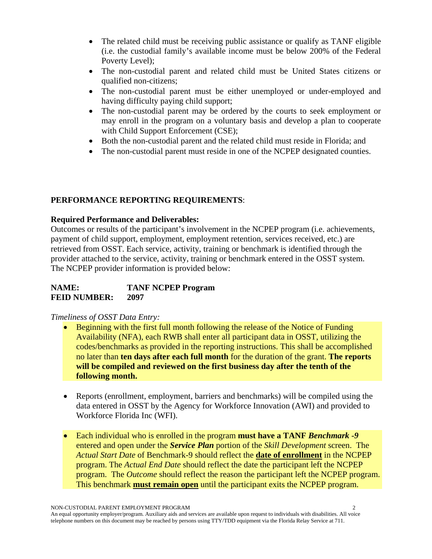- The related child must be receiving public assistance or qualify as TANF eligible (i.e. the custodial family's available income must be below 200% of the Federal Poverty Level);
- The non-custodial parent and related child must be United States citizens or qualified non-citizens;
- The non-custodial parent must be either unemployed or under-employed and having difficulty paying child support;
- The non-custodial parent may be ordered by the courts to seek employment or may enroll in the program on a voluntary basis and develop a plan to cooperate with Child Support Enforcement (CSE);
- Both the non-custodial parent and the related child must reside in Florida; and
- The non-custodial parent must reside in one of the NCPEP designated counties.

# **PERFORMANCE REPORTING REQUIREMENTS**:

### **Required Performance and Deliverables:**

Outcomes or results of the participant's involvement in the NCPEP program (i.e. achievements, payment of child support, employment, employment retention, services received, etc.) are retrieved from OSST. Each service, activity, training or benchmark is identified through the provider attached to the service, activity, training or benchmark entered in the OSST system. The NCPEP provider information is provided below:

| NAME:               | <b>TANF NCPEP Program</b> |
|---------------------|---------------------------|
| <b>FEID NUMBER:</b> | 2097                      |

### *Timeliness of OSST Data Entry:*

- Beginning with the first full month following the release of the Notice of Funding Availability (NFA), each RWB shall enter all participant data in OSST, utilizing the codes/benchmarks as provided in the reporting instructions. This shall be accomplished no later than **ten days after each full month** for the duration of the grant. **The reports will be compiled and reviewed on the first business day after the tenth of the following month.**
- Reports (enrollment, employment, barriers and benchmarks) will be compiled using the data entered in OSST by the Agency for Workforce Innovation (AWI) and provided to Workforce Florida Inc (WFI).
- Each individual who is enrolled in the program **must have a TANF** *Benchmark -9* entered and open under the *Service Plan* portion of the *Skill Development* screen. The *Actual Start Date* of Benchmark-9 should reflect the **date of enrollment** in the NCPEP program. The *Actual End Date* should reflect the date the participant left the NCPEP program. The *Outcome* should reflect the reason the participant left the NCPEP program. This benchmark **must remain open** until the participant exits the NCPEP program.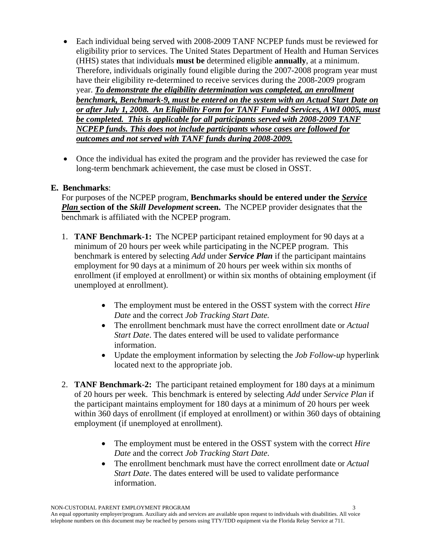- Each individual being served with 2008-2009 TANF NCPEP funds must be reviewed for eligibility prior to services. The United States Department of Health and Human Services (HHS) states that individuals **must be** determined eligible **annually**, at a minimum. Therefore, individuals originally found eligible during the 2007-2008 program year must have their eligibility re-determined to receive services during the 2008-2009 program year. *To demonstrate the eligibility determination was completed, an enrollment benchmark, Benchmark-9, must be entered on the system with an Actual Start Date on or after July 1, 2008. An Eligibility Form for TANF Funded Services, AWI 0005, must be completed. This is applicable for all participants served with 2008-2009 TANF NCPEP funds. This does not include participants whose cases are followed for outcomes and not served with TANF funds during 2008-2009.*
- Once the individual has exited the program and the provider has reviewed the case for long-term benchmark achievement, the case must be closed in OSST.

### **E. Benchmarks**:

For purposes of the NCPEP program, **Benchmarks should be entered under the** *Service Plan* **section of the** *Skill Development* **screen.** The NCPEP provider designates that the benchmark is affiliated with the NCPEP program.

- 1. **TANF Benchmark-1:** The NCPEP participant retained employment for 90 days at a minimum of 20 hours per week while participating in the NCPEP program. This benchmark is entered by selecting *Add* under *Service Plan* if the participant maintains employment for 90 days at a minimum of 20 hours per week within six months of enrollment (if employed at enrollment) or within six months of obtaining employment (if unemployed at enrollment).
	- The employment must be entered in the OSST system with the correct *Hire Date* and the correct *Job Tracking Start Date.*
	- The enrollment benchmark must have the correct enrollment date or *Actual Start Date*. The dates entered will be used to validate performance information.
	- Update the employment information by selecting the *Job Follow-up* hyperlink located next to the appropriate job.
- 2. **TANF Benchmark-2:** The participant retained employment for 180 days at a minimum of 20 hours per week. This benchmark is entered by selecting *Add* under *Service Plan* if the participant maintains employment for 180 days at a minimum of 20 hours per week within 360 days of enrollment (if employed at enrollment) or within 360 days of obtaining employment (if unemployed at enrollment).
	- The employment must be entered in the OSST system with the correct *Hire Date* and the correct *Job Tracking Start Date*.
	- The enrollment benchmark must have the correct enrollment date or *Actual Start Date*. The dates entered will be used to validate performance information.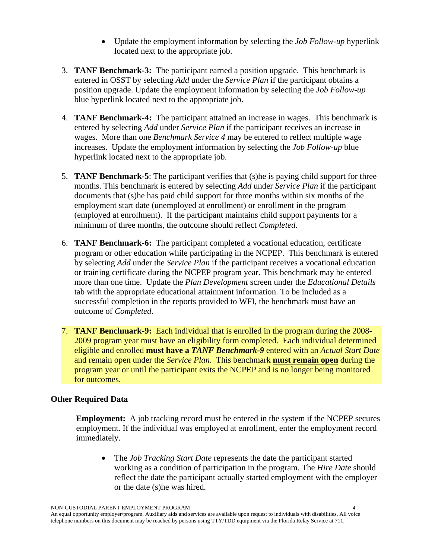- Update the employment information by selecting the *Job Follow-up* hyperlink located next to the appropriate job.
- 3. **TANF Benchmark-3:** The participant earned a position upgrade. This benchmark is entered in OSST by selecting *Add* under the *Service Plan* if the participant obtains a position upgrade. Update the employment information by selecting the *Job Follow-up* blue hyperlink located next to the appropriate job.
- 4. **TANF Benchmark-4:** The participant attained an increase in wages. This benchmark is entered by selecting *Add* under *Service Plan* if the participant receives an increase in wages. More than one *Benchmark Service 4* may be entered to reflect multiple wage increases. Update the employment information by selecting the *Job Follow-up* blue hyperlink located next to the appropriate job.
- 5. **TANF Benchmark-5**: The participant verifies that (s)he is paying child support for three months. This benchmark is entered by selecting *Add* under *Service Plan* if the participant documents that (s)he has paid child support for three months within six months of the employment start date (unemployed at enrollment) or enrollment in the program (employed at enrollment). If the participant maintains child support payments for a minimum of three months, the outcome should reflect *Completed.*
- 6. **TANF Benchmark-6:** The participant completed a vocational education, certificate program or other education while participating in the NCPEP. This benchmark is entered by selecting *Add* under the *Service Plan* if the participant receives a vocational education or training certificate during the NCPEP program year. This benchmark may be entered more than one time. Update the *Plan Development* screen under the *Educational Details* tab with the appropriate educational attainment information. To be included as a successful completion in the reports provided to WFI, the benchmark must have an outcome of *Completed*.
- 7. **TANF Benchmark-9:** Each individual that is enrolled in the program during the 2008- 2009 program year must have an eligibility form completed. Each individual determined eligible and enrolled **must have a** *TANF Benchmark-9* entered with an *Actual Start Date* and remain open under the *Service Plan*. This benchmark **must remain open** during the program year or until the participant exits the NCPEP and is no longer being monitored for outcomes.

#### **Other Required Data**

**Employment:** A job tracking record must be entered in the system if the NCPEP secures employment. If the individual was employed at enrollment, enter the employment record immediately.

• The *Job Tracking Start Date* represents the date the participant started working as a condition of participation in the program. The *Hire Date* should reflect the date the participant actually started employment with the employer or the date (s)he was hired.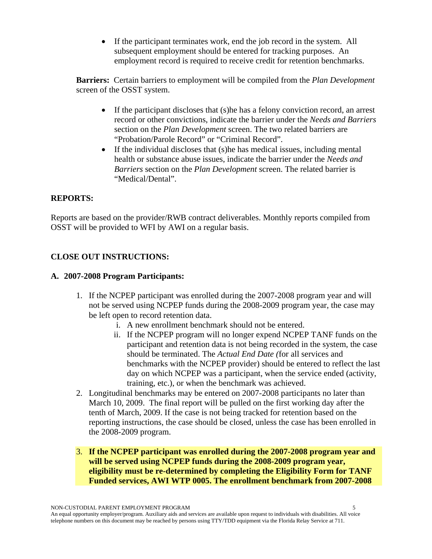• If the participant terminates work, end the job record in the system. All subsequent employment should be entered for tracking purposes. An employment record is required to receive credit for retention benchmarks.

**Barriers:** Certain barriers to employment will be compiled from the *Plan Development* screen of the OSST system.

- If the participant discloses that (s) he has a felony conviction record, an arrest record or other convictions, indicate the barrier under the *Needs and Barriers* section on the *Plan Development* screen. The two related barriers are "Probation/Parole Record" or "Criminal Record".
- If the individual discloses that (s)he has medical issues, including mental health or substance abuse issues, indicate the barrier under the *Needs and Barriers* section on the *Plan Development* screen. The related barrier is "Medical/Dental".

## **REPORTS:**

Reports are based on the provider/RWB contract deliverables. Monthly reports compiled from OSST will be provided to WFI by AWI on a regular basis.

## **CLOSE OUT INSTRUCTIONS:**

#### **A. 2007-2008 Program Participants:**

- 1. If the NCPEP participant was enrolled during the 2007-2008 program year and will not be served using NCPEP funds during the 2008-2009 program year, the case may be left open to record retention data.
	- i. A new enrollment benchmark should not be entered.
	- ii. If the NCPEP program will no longer expend NCPEP TANF funds on the participant and retention data is not being recorded in the system, the case should be terminated. The *Actual End Date (*for all services and benchmarks with the NCPEP provider) should be entered to reflect the last day on which NCPEP was a participant, when the service ended (activity, training, etc.), or when the benchmark was achieved.
- 2. Longitudinal benchmarks may be entered on 2007-2008 participants no later than March 10, 2009. The final report will be pulled on the first working day after the tenth of March, 2009. If the case is not being tracked for retention based on the reporting instructions, the case should be closed, unless the case has been enrolled in the 2008-2009 program.
- 3. **If the NCPEP participant was enrolled during the 2007-2008 program year and will be served using NCPEP funds during the 2008-2009 program year, eligibility must be re-determined by completing the Eligibility Form for TANF Funded services, AWI WTP 0005. The enrollment benchmark from 2007-2008**